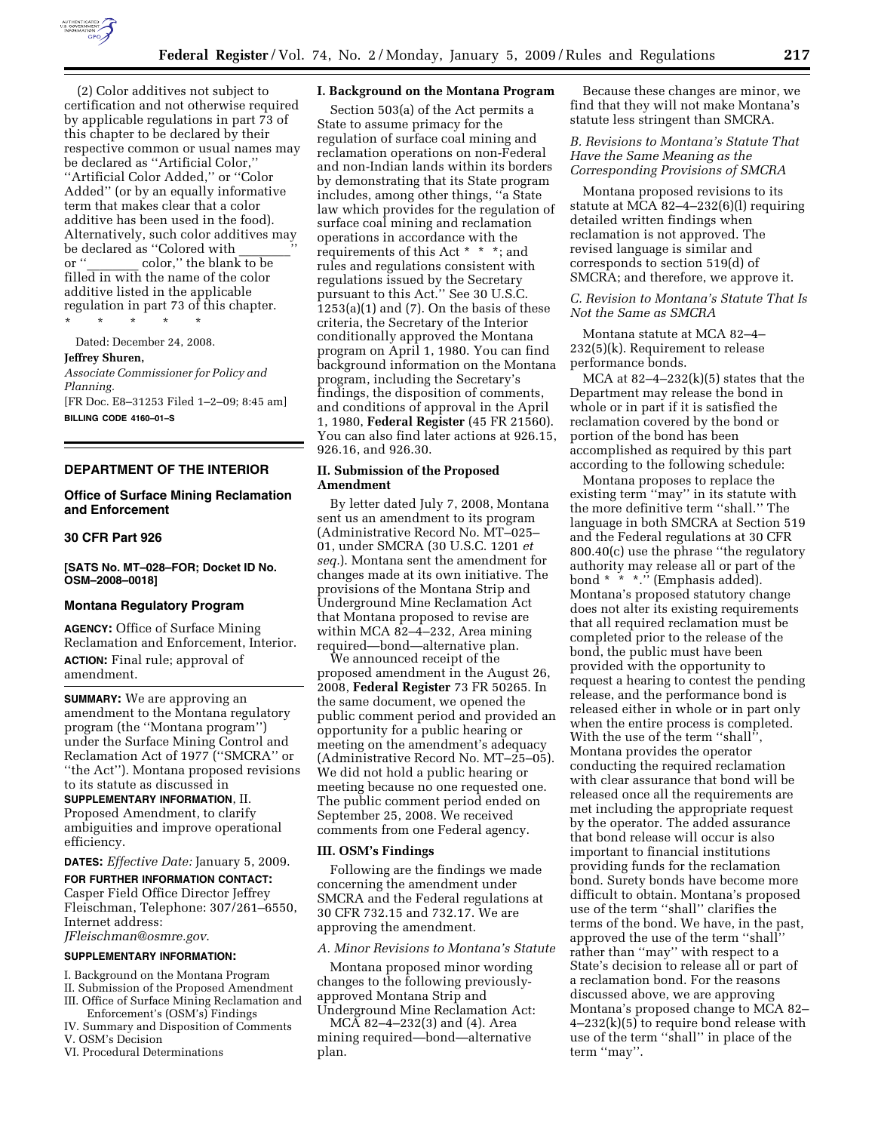

(2) Color additives not subject to certification and not otherwise required by applicable regulations in part 73 of this chapter to be declared by their respective common or usual names may be declared as ''Artificial Color,'' ''Artificial Color Added,'' or ''Color Added'' (or by an equally informative term that makes clear that a color additive has been used in the food). Alternatively, such color additives may be declared as "Colored with<br>or " color." the hlank  $color,$ '' the blank to be filled in with the name of the color additive listed in the applicable regulation in part 73 of this chapter. \* \* \* \* \*

Dated: December 24, 2008.

# **Jeffrey Shuren,**

*Associate Commissioner for Policy and Planning.* 

[FR Doc. E8–31253 Filed 1–2–09; 8:45 am] **BILLING CODE 4160–01–S** 

### **DEPARTMENT OF THE INTERIOR**

# **Office of Surface Mining Reclamation and Enforcement**

### **30 CFR Part 926**

**[SATS No. MT–028–FOR; Docket ID No. OSM–2008–0018]** 

### **Montana Regulatory Program**

**AGENCY:** Office of Surface Mining Reclamation and Enforcement, Interior. **ACTION:** Final rule; approval of amendment.

**SUMMARY:** We are approving an amendment to the Montana regulatory program (the ''Montana program'') under the Surface Mining Control and Reclamation Act of 1977 (''SMCRA'' or ''the Act''). Montana proposed revisions to its statute as discussed in

#### **SUPPLEMENTARY INFORMATION**, II.

Proposed Amendment, to clarify ambiguities and improve operational efficiency.

**DATES:** *Effective Date:* January 5, 2009.

**FOR FURTHER INFORMATION CONTACT:**  Casper Field Office Director Jeffrey Fleischman, Telephone: 307/261–6550, Internet address:

*JFleischman@osmre.gov*.

# **SUPPLEMENTARY INFORMATION:**

I. Background on the Montana Program II. Submission of the Proposed Amendment

- III. Office of Surface Mining Reclamation and Enforcement's (OSM's) Findings
- IV. Summary and Disposition of Comments V. OSM's Decision
- VI. Procedural Determinations

# **I. Background on the Montana Program**

Section 503(a) of the Act permits a State to assume primacy for the regulation of surface coal mining and reclamation operations on non-Federal and non-Indian lands within its borders by demonstrating that its State program includes, among other things, ''a State law which provides for the regulation of surface coal mining and reclamation operations in accordance with the requirements of this Act \* \* \*; and rules and regulations consistent with regulations issued by the Secretary pursuant to this Act.'' See 30 U.S.C.  $1253(a)(1)$  and  $(7)$ . On the basis of these criteria, the Secretary of the Interior conditionally approved the Montana program on April 1, 1980. You can find background information on the Montana program, including the Secretary's findings, the disposition of comments, and conditions of approval in the April 1, 1980, **Federal Register** (45 FR 21560). You can also find later actions at 926.15, 926.16, and 926.30.

### **II. Submission of the Proposed Amendment**

By letter dated July 7, 2008, Montana sent us an amendment to its program (Administrative Record No. MT–025– 01, under SMCRA (30 U.S.C. 1201 *et seq.*). Montana sent the amendment for changes made at its own initiative. The provisions of the Montana Strip and Underground Mine Reclamation Act that Montana proposed to revise are within MCA 82–4–232, Area mining required—bond—alternative plan.

We announced receipt of the proposed amendment in the August 26, 2008, **Federal Register** 73 FR 50265. In the same document, we opened the public comment period and provided an opportunity for a public hearing or meeting on the amendment's adequacy (Administrative Record No. MT–25–05). We did not hold a public hearing or meeting because no one requested one. The public comment period ended on September 25, 2008. We received comments from one Federal agency.

#### **III. OSM's Findings**

Following are the findings we made concerning the amendment under SMCRA and the Federal regulations at 30 CFR 732.15 and 732.17. We are approving the amendment.

## *A. Minor Revisions to Montana's Statute*

Montana proposed minor wording changes to the following previouslyapproved Montana Strip and Underground Mine Reclamation Act:

MCA 82–4–232(3) and (4). Area mining required—bond—alternative plan.

Because these changes are minor, we find that they will not make Montana's statute less stringent than SMCRA.

### *B. Revisions to Montana's Statute That Have the Same Meaning as the Corresponding Provisions of SMCRA*

Montana proposed revisions to its statute at MCA 82–4–232(6)(l) requiring detailed written findings when reclamation is not approved. The revised language is similar and corresponds to section 519(d) of SMCRA; and therefore, we approve it.

## *C. Revision to Montana's Statute That Is Not the Same as SMCRA*

Montana statute at MCA 82–4– 232(5)(k). Requirement to release performance bonds.

MCA at  $82-4-232(k)(5)$  states that the Department may release the bond in whole or in part if it is satisfied the reclamation covered by the bond or portion of the bond has been accomplished as required by this part according to the following schedule:

Montana proposes to replace the existing term ''may'' in its statute with the more definitive term ''shall.'' The language in both SMCRA at Section 519 and the Federal regulations at 30 CFR 800.40(c) use the phrase ''the regulatory authority may release all or part of the bond  $* * *$ ." (Emphasis added). Montana's proposed statutory change does not alter its existing requirements that all required reclamation must be completed prior to the release of the bond, the public must have been provided with the opportunity to request a hearing to contest the pending release, and the performance bond is released either in whole or in part only when the entire process is completed. With the use of the term "shall", Montana provides the operator conducting the required reclamation with clear assurance that bond will be released once all the requirements are met including the appropriate request by the operator. The added assurance that bond release will occur is also important to financial institutions providing funds for the reclamation bond. Surety bonds have become more difficult to obtain. Montana's proposed use of the term ''shall'' clarifies the terms of the bond. We have, in the past, approved the use of the term ''shall'' rather than ''may'' with respect to a State's decision to release all or part of a reclamation bond. For the reasons discussed above, we are approving Montana's proposed change to MCA 82– 4–232(k)(5) to require bond release with use of the term ''shall'' in place of the term ''may''.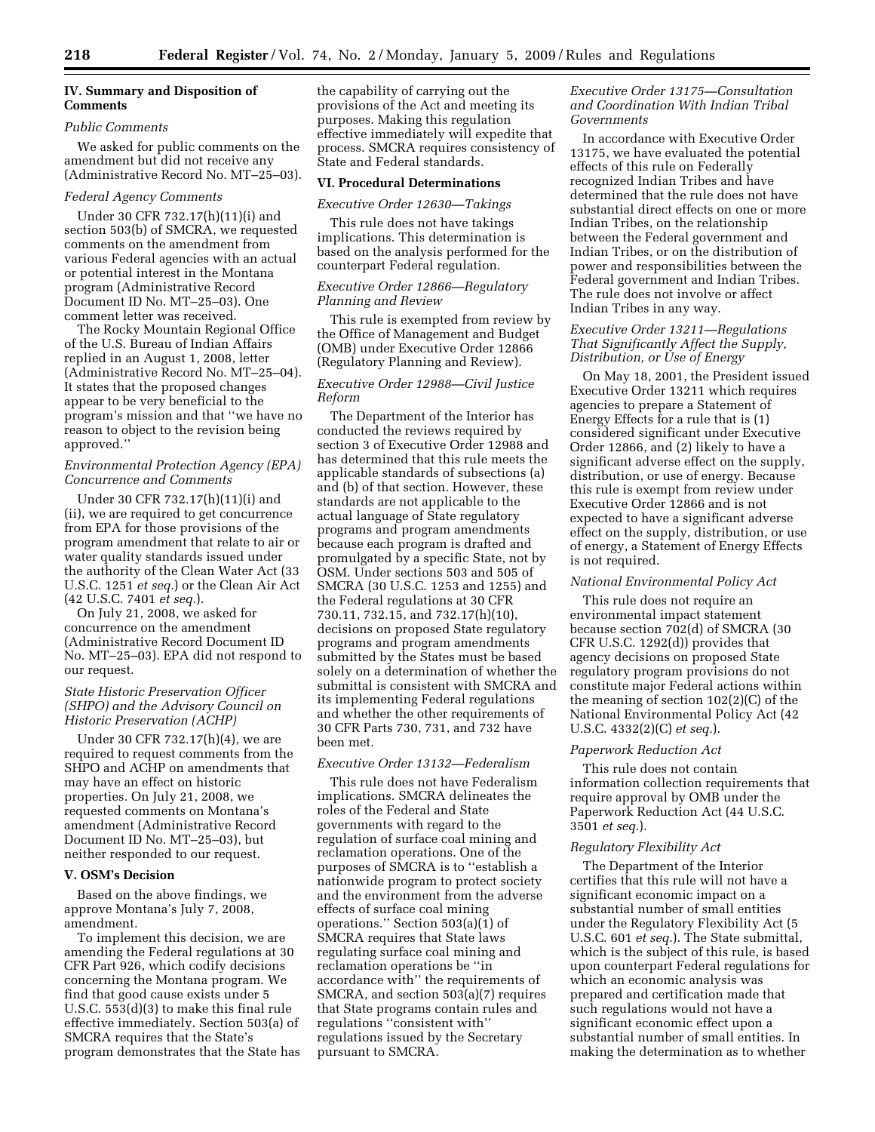### **IV. Summary and Disposition of Comments**

#### *Public Comments*

We asked for public comments on the amendment but did not receive any (Administrative Record No. MT–25–03).

# *Federal Agency Comments*

Under 30 CFR 732.17(h)(11)(i) and section 503(b) of SMCRA, we requested comments on the amendment from various Federal agencies with an actual or potential interest in the Montana program (Administrative Record Document ID No. MT–25–03). One comment letter was received.

The Rocky Mountain Regional Office of the U.S. Bureau of Indian Affairs replied in an August 1, 2008, letter (Administrative Record No. MT–25–04). It states that the proposed changes appear to be very beneficial to the program's mission and that ''we have no reason to object to the revision being approved.''

# *Environmental Protection Agency (EPA) Concurrence and Comments*

Under 30 CFR 732.17(h)(11)(i) and (ii), we are required to get concurrence from EPA for those provisions of the program amendment that relate to air or water quality standards issued under the authority of the Clean Water Act (33 U.S.C. 1251 *et seq.*) or the Clean Air Act (42 U.S.C. 7401 *et seq.*).

On July 21, 2008, we asked for concurrence on the amendment (Administrative Record Document ID No. MT–25–03). EPA did not respond to our request.

# *State Historic Preservation Officer (SHPO) and the Advisory Council on Historic Preservation (ACHP)*

Under 30 CFR 732.17(h)(4), we are required to request comments from the SHPO and ACHP on amendments that may have an effect on historic properties. On July 21, 2008, we requested comments on Montana's amendment (Administrative Record Document ID No. MT–25–03), but neither responded to our request.

## **V. OSM's Decision**

Based on the above findings, we approve Montana's July 7, 2008, amendment.

To implement this decision, we are amending the Federal regulations at 30 CFR Part 926, which codify decisions concerning the Montana program. We find that good cause exists under 5 U.S.C. 553(d)(3) to make this final rule effective immediately. Section 503(a) of SMCRA requires that the State's program demonstrates that the State has the capability of carrying out the provisions of the Act and meeting its purposes. Making this regulation effective immediately will expedite that process. SMCRA requires consistency of State and Federal standards.

#### **VI. Procedural Determinations**

# *Executive Order 12630—Takings*

This rule does not have takings implications. This determination is based on the analysis performed for the counterpart Federal regulation.

# *Executive Order 12866—Regulatory Planning and Review*

This rule is exempted from review by the Office of Management and Budget (OMB) under Executive Order 12866 (Regulatory Planning and Review).

### *Executive Order 12988—Civil Justice Reform*

The Department of the Interior has conducted the reviews required by section 3 of Executive Order 12988 and has determined that this rule meets the applicable standards of subsections (a) and (b) of that section. However, these standards are not applicable to the actual language of State regulatory programs and program amendments because each program is drafted and promulgated by a specific State, not by OSM. Under sections 503 and 505 of SMCRA (30 U.S.C. 1253 and 1255) and the Federal regulations at 30 CFR 730.11, 732.15, and 732.17(h)(10), decisions on proposed State regulatory programs and program amendments submitted by the States must be based solely on a determination of whether the submittal is consistent with SMCRA and its implementing Federal regulations and whether the other requirements of 30 CFR Parts 730, 731, and 732 have been met.

# *Executive Order 13132—Federalism*

This rule does not have Federalism implications. SMCRA delineates the roles of the Federal and State governments with regard to the regulation of surface coal mining and reclamation operations. One of the purposes of SMCRA is to ''establish a nationwide program to protect society and the environment from the adverse effects of surface coal mining operations.'' Section 503(a)(1) of SMCRA requires that State laws regulating surface coal mining and reclamation operations be ''in accordance with'' the requirements of SMCRA, and section 503(a)(7) requires that State programs contain rules and regulations ''consistent with'' regulations issued by the Secretary pursuant to SMCRA.

## *Executive Order 13175—Consultation and Coordination With Indian Tribal Governments*

In accordance with Executive Order 13175, we have evaluated the potential effects of this rule on Federally recognized Indian Tribes and have determined that the rule does not have substantial direct effects on one or more Indian Tribes, on the relationship between the Federal government and Indian Tribes, or on the distribution of power and responsibilities between the Federal government and Indian Tribes. The rule does not involve or affect Indian Tribes in any way.

# *Executive Order 13211—Regulations That Significantly Affect the Supply, Distribution, or Use of Energy*

On May 18, 2001, the President issued Executive Order 13211 which requires agencies to prepare a Statement of Energy Effects for a rule that is (1) considered significant under Executive Order 12866, and (2) likely to have a significant adverse effect on the supply, distribution, or use of energy. Because this rule is exempt from review under Executive Order 12866 and is not expected to have a significant adverse effect on the supply, distribution, or use of energy, a Statement of Energy Effects is not required.

# *National Environmental Policy Act*

This rule does not require an environmental impact statement because section 702(d) of SMCRA (30 CFR U.S.C. 1292(d)) provides that agency decisions on proposed State regulatory program provisions do not constitute major Federal actions within the meaning of section 102(2)(C) of the National Environmental Policy Act (42 U.S.C. 4332(2)(C) *et seq.*).

#### *Paperwork Reduction Act*

This rule does not contain information collection requirements that require approval by OMB under the Paperwork Reduction Act (44 U.S.C. 3501 *et seq.*).

### *Regulatory Flexibility Act*

The Department of the Interior certifies that this rule will not have a significant economic impact on a substantial number of small entities under the Regulatory Flexibility Act (5 U.S.C. 601 *et seq.*). The State submittal, which is the subject of this rule, is based upon counterpart Federal regulations for which an economic analysis was prepared and certification made that such regulations would not have a significant economic effect upon a substantial number of small entities. In making the determination as to whether